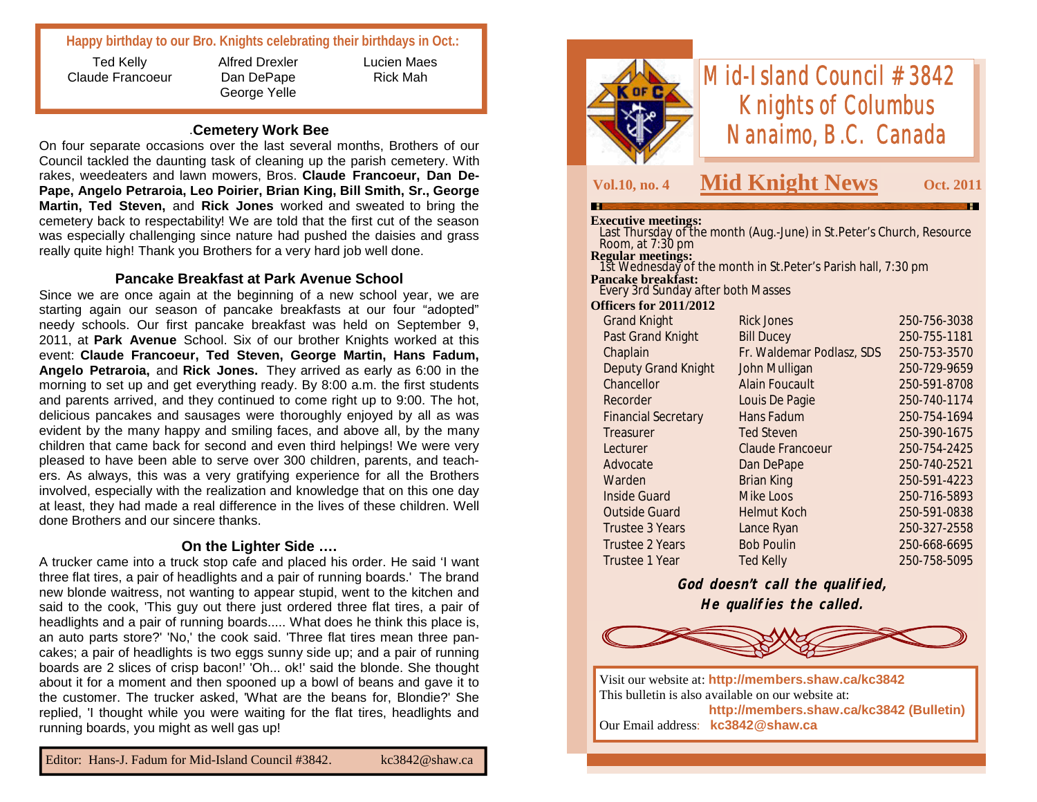# **Happy birthday to our Bro. Knights celebrating their birthdays in Oct.:**

Ted Kelly Claude Francoeur Alfred Drexler Dan DePape George Yelle

Lucien Maes Rick Mah

#### .**Cemetery Work Bee**

On four separate occasions over the last several months, Brothers of our Council tackled the daunting task of cleaning up the parish cemetery. With rakes, weedeaters and lawn mowers, Bros. **Claude Francoeur, Dan De-Pape, Angelo Petraroia, Leo Poirier, Brian King, Bill Smith, Sr., George Martin, Ted Steven,** and **Rick Jones** worked and sweated to bring the cemetery back to respectability! We are told that the first cut of the season was especially challenging since nature had pushed the daisies and grass really quite high! Thank you Brothers for a very hard job well done.

### **Pancake Breakfast at Park Avenue School**

Since we are once again at the beginning of a new school year, we are starting again our season of pancake breakfasts at our four "adopted" needy schools. Our first pancake breakfast was held on September 9, 2011, at **Park Avenue** School. Six of our brother Knights worked at this event: **Claude Francoeur, Ted Steven, George Martin, Hans Fadum, Angelo Petraroia,** and **Rick Jones.** They arrived as early as 6:00 in the morning to set up and get everything ready. By 8:00 a.m. the first students and parents arrived, and they continued to come right up to 9:00. The hot, delicious pancakes and sausages were thoroughly enjoyed by all as was evident by the many happy and smiling faces, and above all, by the many children that came back for second and even third helpings! We were very pleased to have been able to serve over 300 children, parents, and teachers. As always, this was a very gratifying experience for all the Brothers involved, especially with the realization and knowledge that on this one day at least, they had made a real difference in the lives of these children. Well done Brothers and our sincere thanks.

#### **On the Lighter Side ….**

A trucker came into a truck stop cafe and placed his order. He said 'I want three flat tires, a pair of headlights and a pair of running boards.' The brand new blonde waitress, not wanting to appear stupid, went to the kitchen and said to the cook, 'This guy out there just ordered three flat tires, a pair of headlights and a pair of running boards..... What does he think this place is, an auto parts store?' 'No,' the cook said. 'Three flat tires mean three pancakes; a pair of headlights is two eggs sunny side up; and a pair of running boards are 2 slices of crisp bacon!' 'Oh... ok!' said the blonde. She thought about it for a moment and then spooned up a bowl of beans and gave it to the customer. The trucker asked, 'What are the beans for, Blondie?' She replied, 'I thought while you were waiting for the flat tires, headlights and running boards, you might as well gas up!



# *Mid-Island Council #3842 Knights of Columbus Nanaimo, B.C. Canada*

# **Vol.10, no. 4 Mid Knight News Oct. 2011**

#### **Executive meetings:**

| елесиите шеспичу.                                                                    |                           |              |
|--------------------------------------------------------------------------------------|---------------------------|--------------|
| Last Thursday of the month (Aug.-June) in St. Peter's Church, Resource               |                           |              |
| Room, at $7:30$ pm                                                                   |                           |              |
| <b>Regular meetings:</b>                                                             |                           |              |
| 1st Wednesday of the month in St. Peter's Parish hall, 7:30 pm<br>Pancake breakfast: |                           |              |
| Every 3rd Sunday after both Masses                                                   |                           |              |
| <b>Officers for 2011/2012</b>                                                        |                           |              |
|                                                                                      |                           |              |
| <b>Grand Knight</b>                                                                  | Rick Jones                | 250-756-3038 |
| Past Grand Knight                                                                    | <b>Bill Ducey</b>         | 250-755-1181 |
| Chaplain                                                                             | Fr. Waldemar Podlasz, SDS | 250-753-3570 |
| <b>Deputy Grand Knight</b>                                                           | John Mulligan             | 250-729-9659 |
| Chancellor                                                                           | <b>Alain Foucault</b>     | 250-591-8708 |
| Recorder                                                                             | Louis De Pagie            | 250-740-1174 |
| <b>Financial Secretary</b>                                                           | Hans Fadum                | 250-754-1694 |
| Treasurer                                                                            | <b>Ted Steven</b>         | 250-390-1675 |
| Lecturer                                                                             | <b>Claude Francoeur</b>   | 250-754-2425 |
| Advocate                                                                             | Dan DePape                | 250-740-2521 |
| Warden                                                                               | Brian King                | 250-591-4223 |

Trustee 3 Years Lance Ryan 250-327-2558 Trustee 2 Years Bob Poulin 250-668-6695 Trustee 1 Year Ted Kelly 250-758-5095 **God doesn't call the qualified,**

 Inside Guard Mike Loos 250-716-5893 Outside Guard Helmut Koch 250-591-0838

**He qualifies the called.**



Visit our website at: **http://members.shaw.ca/kc3842** This bulletin is also available on our website at: **http://members.shaw.ca/kc3842 (Bulletin)** Our Email address: **kc3842@shaw.ca**